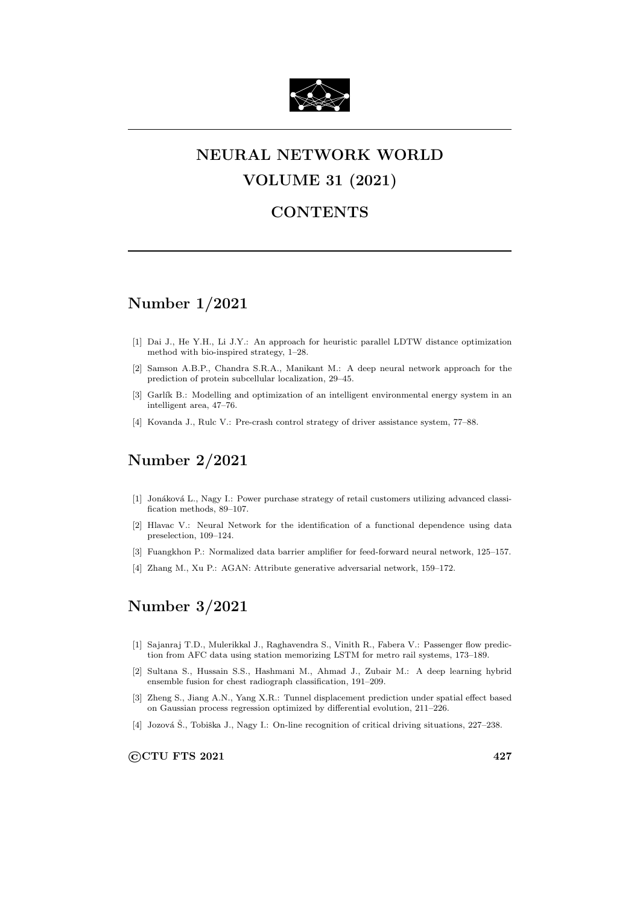

# NEURAL NETWORK WORLD VOLUME 31 (2021)

#### **CONTENTS**

## Number 1/2021

- [1] Dai J., He Y.H., Li J.Y.: An approach for heuristic parallel LDTW distance optimization method with bio-inspired strategy, 1–28.
- [2] Samson A.B.P., Chandra S.R.A., Manikant M.: A deep neural network approach for the prediction of protein subcellular localization, 29–45.
- [3] Garlík B.: Modelling and optimization of an intelligent environmental energy system in an intelligent area, 47–76.
- [4] Kovanda J., Rulc V.: Pre-crash control strategy of driver assistance system, 77–88.

## Number 2/2021

- [1] Jonáková L., Nagy I.: Power purchase strategy of retail customers utilizing advanced classification methods, 89–107.
- [2] Hlavac V.: Neural Network for the identification of a functional dependence using data preselection, 109–124.
- [3] Fuangkhon P.: Normalized data barrier amplifier for feed-forward neural network, 125–157.
- [4] Zhang M., Xu P.: AGAN: Attribute generative adversarial network, 159–172.

## Number 3/2021

- [1] Sajanraj T.D., Mulerikkal J., Raghavendra S., Vinith R., Fabera V.: Passenger flow prediction from AFC data using station memorizing LSTM for metro rail systems, 173–189.
- [2] Sultana S., Hussain S.S., Hashmani M., Ahmad J., Zubair M.: A deep learning hybrid ensemble fusion for chest radiograph classification, 191–209.
- [3] Zheng S., Jiang A.N., Yang X.R.: Tunnel displacement prediction under spatial effect based on Gaussian process regression optimized by differential evolution, 211–226.
- [4] Jozová Š., Tobiška J., Nagy I.: On-line recognition of critical driving situations, 227–238.

©CTU FTS 2021 427